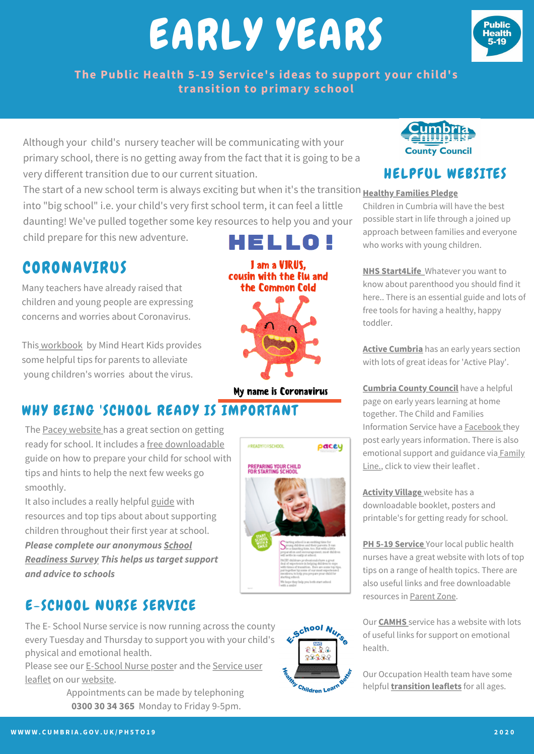## EARLY YEARS



**The Public Health 5-19 Service's ideas to support your child's transition to primary school**

Although your child's nursery teacher will be communicating with your primary school, there is no getting away from the fact that it is going to be a very different transition due to our current situation.

The start of a new school term is always exciting but when it's the transition <u>**Healthy [Families](https://www.cumbria.gov.uk/publichealth/healthyfamiliescumbriapledge.asp) Pledge**</u> into "big school" i.e. your child's very first school term, it can feel a little daunting! We've pulled together some key [resources](https://660919d3-b85b-43c3-a3ad-3de6a9d37099.filesusr.com/ugd/64c685_0a595408de2e4bfcbf1539dcf6ba4b89.pdf) to help you and your

child prepare for this new adventure.

#### CORONAVIRUS

Many teachers have already raised that children and young people are expressing concerns and worries about Coronavirus.

This [workbook](https://660919d3-b85b-43c3-a3ad-3de6a9d37099.filesusr.com/ugd/64c685_0a595408de2e4bfcbf1539dcf6ba4b89.pdf) by Mind Heart Kids provides some helpful tips for parents to alleviate young children's worries about the virus.



HELLO!

My name is Coronavirus

#### WHY BEING 'SCHOOL READY IS IMPORTANT

The Pacey [website](https://www.pacey.org.uk/working-in-childcare/spotlight-on/being-school-ready/#readyforschool) has a great section on getting ready for school. It includes a free [downloadable](https://www.pacey.org.uk/Pacey/media/Website-files/school%20ready/PACEY_preparingforschool_guide.pdf) guide on how to prepare your child for school with tips and hints to help the next few weeks go smoothly.

It also includes a really helpful [guide](https://www.pacey.org.uk/partnerships/starting-school-together/the-first-year/#Resources%20for%20childcare%20professionals%20and%20schools) with resources and top tips about about supporting children throughout their first year at school.

*Please complete our [anonymous](https://www.oc-meridian.com/CumbriaPartnership/survey/SchoolReadiness) School Readiness Survey This helps us target support and advice to schools*

#### E-SCHOOL NURSE SERVICE

The E- School Nurse service is now running across the county every Tuesday and Thursday to support you with your child's physical and emotional health.

Please see our [E-School](https://www.cumbria.gov.uk/eLibrary/Content/Internet/537/17241/4365715387.pdf) Nurse poster and the Service user leaflet on our [website](http://www.cumbria.gov.uk/ph5to19).

> Appointments can be made by telephoning **0300 30 34 365** Monday to Friday 9-5pm.



School Nurse <u>ନାମ</u><br>ହେହିଛି<del>ନ</del>

Children L<sup>ei</sup>



#### HELPFUL WEBSITES

Children in Cumbria will have the best possible start in life through a joined up approach between families and everyone who works with young children.

**NHS [Start4Life](https://www.nhs.uk/start4life/toddler/)** [W](https://www.nhs.uk/start4life/toddler/)hatever you want to know about parenthood you should find it here.. There is an essential guide and lots of free tools for having a healthy, happy toddler.

**Active [Cumbria](https://www.activecumbria.org/behealthybeactive/learn-play/)** has an early years section with lots of great ideas for 'Active Play' .

**[Cumbria](https://www.cumbria.gov.uk/childrensservices/childrenandfamilies/cfis/homelearning/homelearningandtimetogetherhomepage/homelearningandtimetogetherhomepage.asp) County Council** have a helpful page on early years learning at home together. The Child and Families Information Service have a [Facebook](https://www.facebook.com/ChildrenandFamiliesInformationService?ref=hl) they post early years information. There is also [emotional](https://www.cumbria.gov.uk/eLibrary/Content/Internet/537/17241/17249/4394912039.pdf) support and guidance via Family Line.[,](https://www.cumbria.gov.uk/eLibrary/Content/Internet/537/17241/17249/4394912039.pdf) click to view their leaflet .

**[Activity](https://www.activityvillage.co.uk/school-readiness) Village** website has a [downloadable](https://www.activityvillage.co.uk/school-readiness) booklet, posters and printable's for getting ready for school.

**PH 5-19 [Service](http://www.cumbria.gov.uk/ph5to19)** Your local public health nurses have a great website with lots of top tips on a range of health topics. There are also useful links and free downloadable resources in [Parent](https://www.cumbria.gov.uk/ph5to19/offer.asp) Zone.

Our **[CAMHS](https://www.camhs-resources.co.uk/)** service has a website with lots of useful links for support on emotional health.

Our Occupation Health team have some helpful **[transition](https://www.ncic.nhs.uk/services/childrens-therapy-toolkit) leaflets** for all ages.